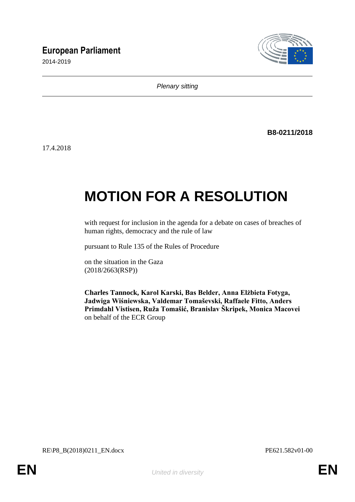## **European Parliament**

2014-2019



*Plenary sitting*

**B8-0211/2018**

17.4.2018

# **MOTION FOR A RESOLUTION**

with request for inclusion in the agenda for a debate on cases of breaches of human rights, democracy and the rule of law

pursuant to Rule 135 of the Rules of Procedure

on the situation in the Gaza (2018/2663(RSP))

**Charles Tannock, Karol Karski, Bas Belder, Anna Elżbieta Fotyga, Jadwiga Wiśniewska, Valdemar Tomaševski, Raffaele Fitto, Anders Primdahl Vistisen, Ruža Tomašić, Branislav Škripek, Monica Macovei** on behalf of the ECR Group

RE\P8\_B(2018)0211\_EN.docx PE621.582v01-00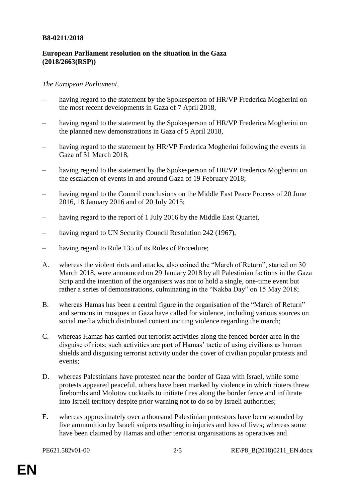#### **B8-0211/2018**

### **European Parliament resolution on the situation in the Gaza (2018/2663(RSP))**

#### *The European Parliament*,

- having regard to the statement by the Spokesperson of HR/VP Frederica Mogherini on the most recent developments in Gaza of 7 April 2018,
- having regard to the statement by the Spokesperson of HR/VP Frederica Mogherini on the planned new demonstrations in Gaza of 5 April 2018,
- having regard to the statement by HR/VP Frederica Mogherini following the events in Gaza of 31 March 2018,
- having regard to the statement by the Spokesperson of HR/VP Frederica Mogherini on the escalation of events in and around Gaza of 19 February 2018;
- having regard to the Council conclusions on the Middle East Peace Process of 20 June 2016, 18 January 2016 and of 20 July 2015;
- having regard to the report of 1 July 2016 by the Middle East Quartet,
- having regard to UN Security Council Resolution 242 (1967),
- having regard to Rule 135 of its Rules of Procedure;
- A. whereas the violent riots and attacks, also coined the "March of Return", started on 30 March 2018, were announced on 29 January 2018 by all Palestinian factions in the Gaza Strip and the intention of the organisers was not to hold a single, one-time event but rather a series of demonstrations, culminating in the "Nakba Day" on 15 May 2018;
- B. whereas Hamas has been a central figure in the organisation of the "March of Return" and sermons in mosques in Gaza have called for violence, including various sources on social media which distributed content inciting violence regarding the march;
- C. whereas Hamas has carried out terrorist activities along the fenced border area in the disguise of riots; such activities are part of Hamas' tactic of using civilians as human shields and disguising terrorist activity under the cover of civilian popular protests and events;
- D. whereas Palestinians have protested near the border of Gaza with Israel, while some protests appeared peaceful, others have been marked by violence in which rioters threw firebombs and Molotov cocktails to initiate fires along the border fence and infiltrate into Israeli territory despite prior warning not to do so by Israeli authorities;
- E. whereas approximately over a thousand Palestinian protestors have been wounded by live ammunition by Israeli snipers resulting in injuries and loss of lives; whereas some have been claimed by Hamas and other terrorist organisations as operatives and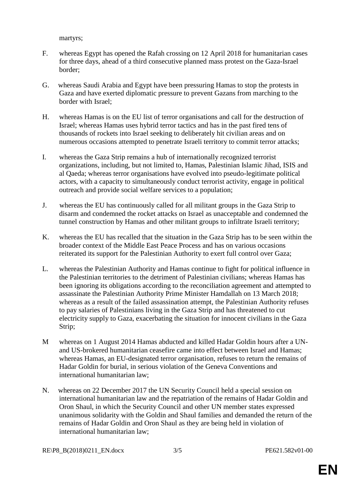martyrs;

- F. whereas Egypt has opened the Rafah crossing on 12 April 2018 for humanitarian cases for three days, ahead of a third consecutive planned mass protest on the Gaza-Israel border;
- G. whereas Saudi Arabia and Egypt have been pressuring Hamas to stop the protests in Gaza and have exerted diplomatic pressure to prevent Gazans from marching to the border with Israel;
- H. whereas Hamas is on the EU list of terror organisations and call for the destruction of Israel; whereas Hamas uses hybrid terror tactics and has in the past fired tens of thousands of rockets into Israel seeking to deliberately hit civilian areas and on numerous occasions attempted to penetrate Israeli territory to commit terror attacks;
- I. whereas the Gaza Strip remains a hub of internationally recognized terrorist organizations, including, but not limited to, Hamas, Palestinian Islamic Jihad, ISIS and al Qaeda; whereas terror organisations have evolved into pseudo-legitimate political actors, with a capacity to simultaneously conduct terrorist activity, engage in political outreach and provide social welfare services to a population;
- J. whereas the EU has continuously called for all militant groups in the Gaza Strip to disarm and condemned the rocket attacks on Israel as unacceptable and condemned the tunnel construction by Hamas and other militant groups to infiltrate Israeli territory;
- K. whereas the EU has recalled that the situation in the Gaza Strip has to be seen within the broader context of the Middle East Peace Process and has on various occasions reiterated its support for the Palestinian Authority to exert full control over Gaza;
- L. whereas the Palestinian Authority and Hamas continue to fight for political influence in the Palestinian territories to the detriment of Palestinian civilians; whereas Hamas has been ignoring its obligations according to the reconciliation agreement and attempted to assassinate the Palestinian Authority Prime Minister Hamdallah on 13 March 2018; whereas as a result of the failed assassination attempt, the Palestinian Authority refuses to pay salaries of Palestinians living in the Gaza Strip and has threatened to cut electricity supply to Gaza, exacerbating the situation for innocent civilians in the Gaza Strip;
- M whereas on 1 August 2014 Hamas abducted and killed Hadar Goldin hours after a UNand US-brokered humanitarian ceasefire came into effect between Israel and Hamas; whereas Hamas, an EU-designated terror organisation, refuses to return the remains of Hadar Goldin for burial, in serious violation of the Geneva Conventions and international humanitarian law;
- N. whereas on 22 December 2017 the UN Security Council held a special session on international humanitarian law and the repatriation of the remains of Hadar Goldin and Oron Shaul, in which the Security Council and other UN member states expressed unanimous solidarity with the Goldin and Shaul families and demanded the return of the remains of Hadar Goldin and Oron Shaul as they are being held in violation of international humanitarian law;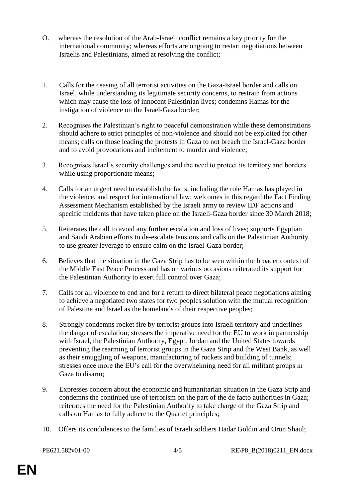- O. whereas the resolution of the Arab-Israeli conflict remains a key priority for the international community; whereas efforts are ongoing to restart negotiations between Israelis and Palestinians, aimed at resolving the conflict;
- 1. Calls for the ceasing of all terrorist activities on the Gaza-Israel border and calls on Israel, while understanding its legitimate security concerns, to restrain from actions which may cause the loss of innocent Palestinian lives; condemns Hamas for the instigation of violence on the Israel-Gaza border;
- 2. Recognises the Palestinian's right to peaceful demonstration while these demonstrations should adhere to strict principles of non-violence and should not be exploited for other means; calls on those leading the protests in Gaza to not breach the Israel-Gaza border and to avoid provocations and incitement to murder and violence;
- 3. Recognises Israel's security challenges and the need to protect its territory and borders while using proportionate means;
- 4. Calls for an urgent need to establish the facts, including the role Hamas has played in the violence, and respect for international law; welcomes in this regard the Fact Finding Assessment Mechanism established by the Israeli army to review IDF actions and specific incidents that have taken place on the Israeli-Gaza border since 30 March 2018;
- 5. Reiterates the call to avoid any further escalation and loss of lives; supports Egyptian and Saudi Arabian efforts to de-escalate tensions and calls on the Palestinian Authority to use greater leverage to ensure calm on the Israel-Gaza border;
- 6. Believes that the situation in the Gaza Strip has to be seen within the broader context of the Middle East Peace Process and has on various occasions reiterated its support for the Palestinian Authority to exert full control over Gaza;
- 7. Calls for all violence to end and for a return to direct bilateral peace negotiations aiming to achieve a negotiated two states for two peoples solution with the mutual recognition of Palestine and Israel as the homelands of their respective peoples;
- 8. Strongly condemns rocket fire by terrorist groups into Israeli territory and underlines the danger of escalation; stresses the imperative need for the EU to work in partnership with Israel, the Palestinian Authority, Egypt, Jordan and the United States towards preventing the rearming of terrorist groups in the Gaza Strip and the West Bank, as well as their smuggling of weapons, manufacturing of rockets and building of tunnels; stresses once more the EU's call for the overwhelming need for all militant groups in Gaza to disarm;
- 9. Expresses concern about the economic and humanitarian situation in the Gaza Strip and condemns the continued use of terrorism on the part of the de facto authorities in Gaza; reiterates the need for the Palestinian Authority to take charge of the Gaza Strip and calls on Hamas to fully adhere to the Quartet principles;
- 10. Offers its condolences to the families of Israeli soldiers Hadar Goldin and Oron Shaul;